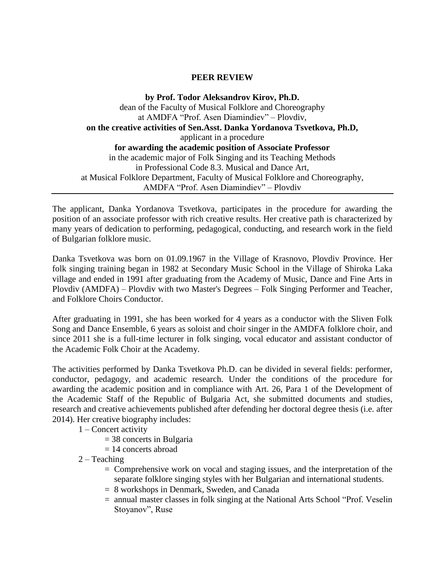## **PEER REVIEW**

**by Prof. Todor Aleksandrov Kirov, Ph.D.** dean of the Faculty of Musical Folklore and Choreography at AMDFA "Prof. Asen Diamindiev" – Plovdiv, **on the creative activities of Sen.Asst. Danka Yordanova Tsvetkova, Ph.D,** applicant in a procedure **for awarding the academic position of Associate Professor** in the academic major of Folk Singing and its Teaching Methods in Professional Code 8.3. Musical and Dance Art, at Musical Folklore Department, Faculty of Musical Folklore and Choreography, AMDFA "Prof. Asen Diamindiev" – Plovdiv

The applicant, Danka Yordanova Tsvetkova, participates in the procedure for awarding the position of an associate professor with rich creative results. Her creative path is characterized by many years of dedication to performing, pedagogical, conducting, and research work in the field of Bulgarian folklore music.

Danka Tsvetkova was born on 01.09.1967 in the Village of Krasnovo, Plovdiv Province. Her folk singing training began in 1982 at Secondary Music School in the Village of Shiroka Laka village and ended in 1991 after graduating from the Academy of Music, Dance and Fine Arts in Plovdiv (AMDFA) – Plovdiv with two Master's Degrees – Folk Singing Performer and Teacher, and Folklore Choirs Conductor.

After graduating in 1991, she has been worked for 4 years as a conductor with the Sliven Folk Song and Dance Ensemble, 6 years as soloist and choir singer in the AMDFA folklore choir, and since 2011 she is a full-time lecturer in folk singing, vocal educator and assistant conductor of the Academic Folk Choir at the Academy.

The activities performed by Danka Tsvetkova Ph.D. can be divided in several fields: performer, conductor, pedagogy, and academic research. Under the conditions of the procedure for awarding the academic position and in compliance with Art. 26, Para 1 of the Development of the Academic Staff of the Republic of Bulgaria Act, she submitted documents and studies, research and creative achievements published after defending her doctoral degree thesis (i.e. after 2014). Her creative biography includes:

- 1 Concert activity
	- = 38 concerts in Bulgaria
	- $= 14$  concerts abroad
- $2 Teaching$ 
	- = Comprehensive work on vocal and staging issues, and the interpretation of the separate folklore singing styles with her Bulgarian and international students.
	- = 8 workshops in Denmark, Sweden, and Canada
	- = annual master classes in folk singing at the National Arts School "Prof. Veselin Stoyanov", Ruse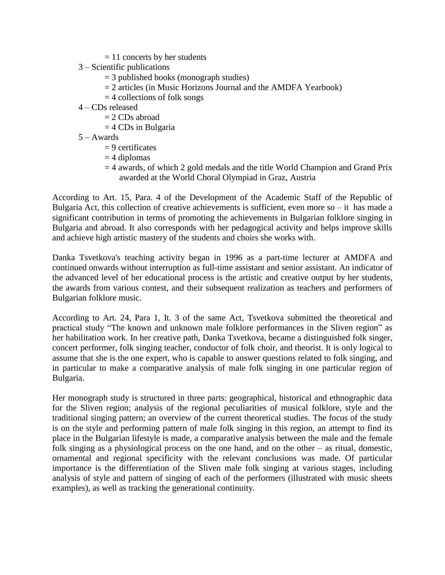- $= 11$  concerts by her students
- 3 Scientific publications
	- = 3 published books (monograph studies)
	- $= 2$  articles (in Music Horizons Journal and the AMDFA Yearbook)
	- $=$  4 collections of folk songs
- 4 CDs released
	- $= 2$  CDs abroad
	- $=$  4 CDs in Bulgaria
- 5 Awards
	- $= 9$  certificates
	- $=$  4 diplomas
	- $=$  4 awards, of which 2 gold medals and the title World Champion and Grand Prix awarded at the World Choral Olympiad in Graz, Austria

According to Art. 15, Para. 4 of the Development of the Academic Staff of the Republic of Bulgaria Act, this collection of creative achievements is sufficient, even more so – it has made a significant contribution in terms of promoting the achievements in Bulgarian folklore singing in Bulgaria and abroad. It also corresponds with her pedagogical activity and helps improve skills and achieve high artistic mastery of the students and choirs she works with.

Danka Tsvetkova's teaching activity began in 1996 as a part-time lecturer at AMDFA and continued onwards without interruption as full-time assistant and senior assistant. An indicator of the advanced level of her educational process is the artistic and creative output by her students, the awards from various contest, and their subsequent realization as teachers and performers of Bulgarian folklore music.

According to Art. 24, Para 1, It. 3 of the same Act, Tsvetkova submitted the theoretical and practical study "The known and unknown male folklore performances in the Sliven region" as her habilitation work. In her creative path, Danka Tsvetkova, became a distinguished folk singer, concert performer, folk singing teacher, conductor of folk choir, and theorist. It is only logical to assume that she is the one expert, who is capable to answer questions related to folk singing, and in particular to make a comparative analysis of male folk singing in one particular region of Bulgaria.

Her monograph study is structured in three parts: geographical, historical and ethnographic data for the Sliven region; analysis of the regional peculiarities of musical folklore, style and the traditional singing pattern; an overview of the current theoretical studies. The focus of the study is on the style and performing pattern of male folk singing in this region, an attempt to find its place in the Bulgarian lifestyle is made, a comparative analysis between the male and the female folk singing as a physiological process on the one hand, and on the other – as ritual, domestic, ornamental and regional specificity with the relevant conclusions was made. Of particular importance is the differentiation of the Sliven male folk singing at various stages, including analysis of style and pattern of singing of each of the performers (illustrated with music sheets examples), as well as tracking the generational continuity.